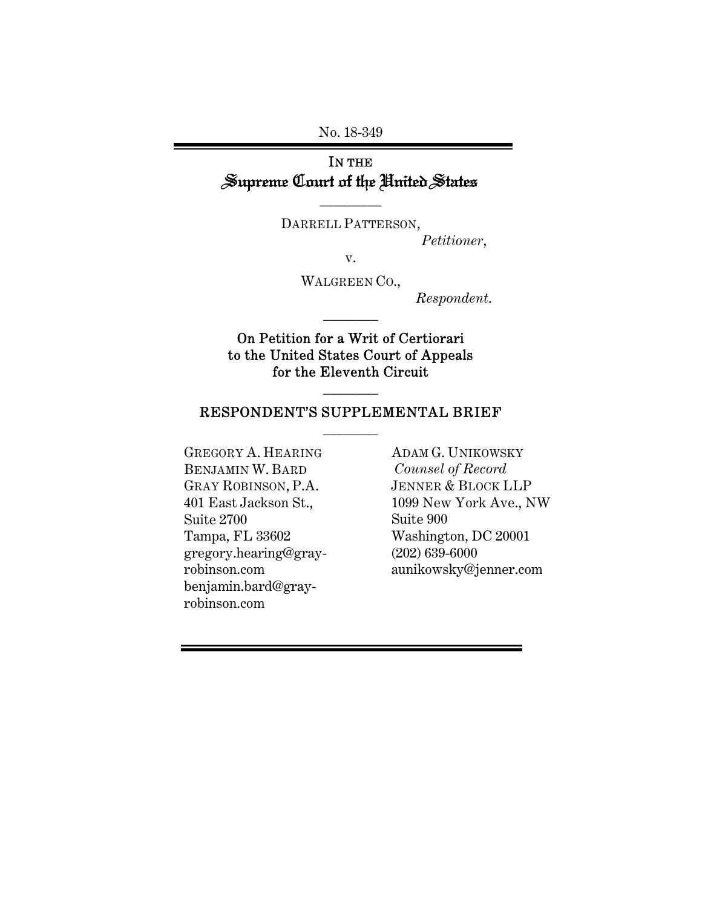No. 18-349

# IN THE Supreme Court of the United States

DARRELL PATTERSON,

\_\_\_\_\_\_\_\_\_

*Petitioner*,

v.

WALGREEN CO.,

\_\_\_\_\_\_\_\_

*Respondent*.

### On Petition for a Writ of Certiorari to the United States Court of Appeals for the Eleventh Circuit

#### RESPONDENT'S SUPPLEMENTAL BRIEF \_\_\_\_\_\_\_\_

\_\_\_\_\_\_\_\_

GREGORY A. HEARING BENJAMIN W. BARD GRAY ROBINSON, P.A. 401 East Jackson St., Suite 2700 Tampa, FL 33602 gregory.hearing@grayrobinson.com benjamin.bard@grayrobinson.com

ADAM G. UNIKOWSKY *Counsel of Record*  JENNER & BLOCK LLP 1099 New York Ave., NW Suite 900 Washington, DC 20001 (202) 639-6000 aunikowsky@jenner.com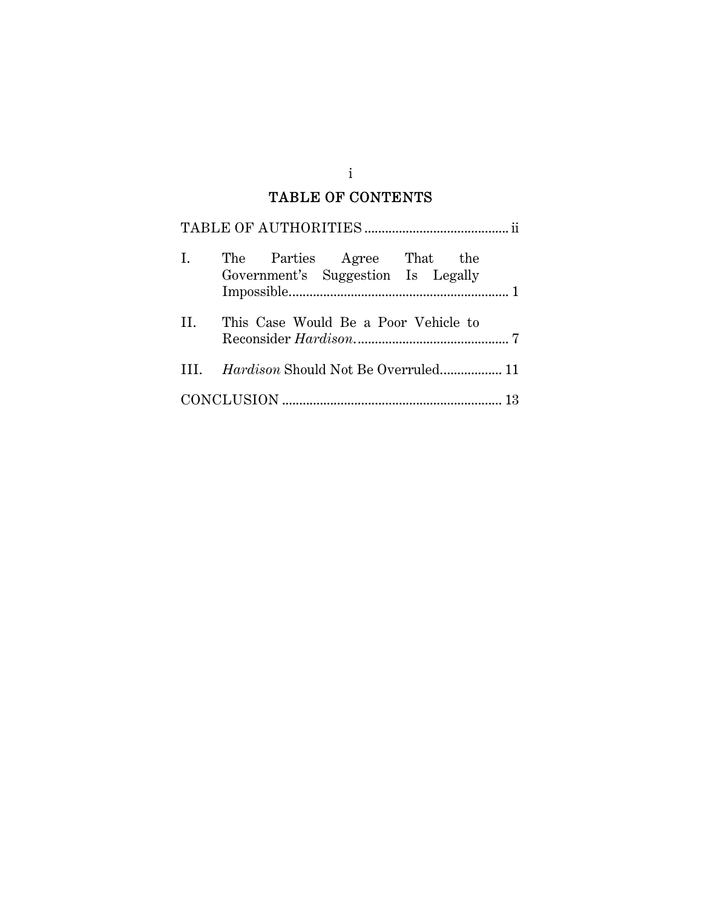## TABLE OF CONTENTS

| Ι. | The Parties Agree That the<br>Government's Suggestion Is Legally |  |
|----|------------------------------------------------------------------|--|
| Н. | This Case Would Be a Poor Vehicle to                             |  |
|    |                                                                  |  |
|    |                                                                  |  |

i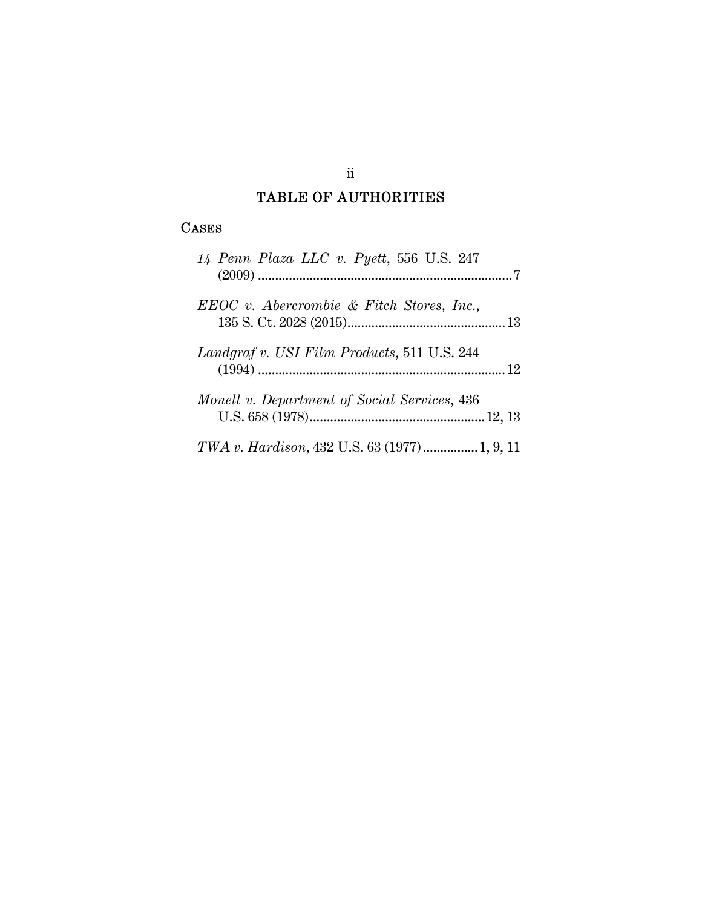# TABLE OF AUTHORITIES

## CASES

| 14 Penn Plaza LLC v. Pyett, 556 U.S. 247      |
|-----------------------------------------------|
| $EEOC$ v. Abercrombie & Fitch Stores, Inc.,   |
| Landgraf v. USI Film Products, 511 U.S. 244   |
| Monell v. Department of Social Services, 436  |
| TWA v. Hardison, 432 U.S. 63 (1977)  1, 9, 11 |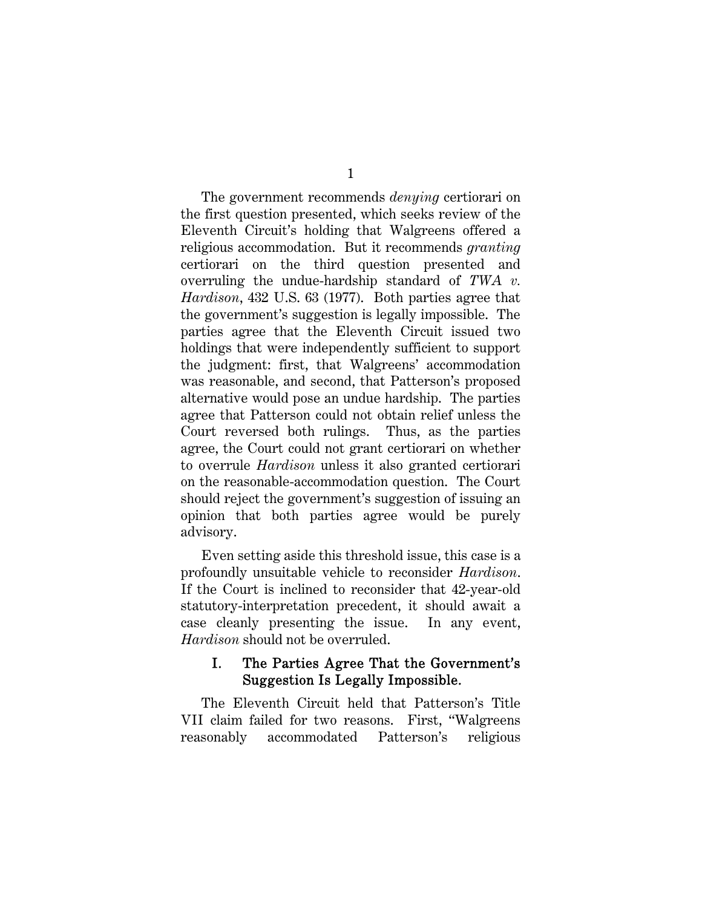The government recommends *denying* certiorari on the first question presented, which seeks review of the Eleventh Circuit's holding that Walgreens offered a religious accommodation. But it recommends *granting* certiorari on the third question presented and overruling the undue-hardship standard of *TWA v. Hardison*, 432 U.S. 63 (1977). Both parties agree that the government's suggestion is legally impossible. The parties agree that the Eleventh Circuit issued two holdings that were independently sufficient to support the judgment: first, that Walgreens' accommodation was reasonable, and second, that Patterson's proposed alternative would pose an undue hardship. The parties agree that Patterson could not obtain relief unless the Court reversed both rulings. Thus, as the parties agree, the Court could not grant certiorari on whether to overrule *Hardison* unless it also granted certiorari on the reasonable-accommodation question. The Court should reject the government's suggestion of issuing an opinion that both parties agree would be purely advisory.

Even setting aside this threshold issue, this case is a profoundly unsuitable vehicle to reconsider *Hardison*. If the Court is inclined to reconsider that 42-year-old statutory-interpretation precedent, it should await a case cleanly presenting the issue. In any event, *Hardison* should not be overruled.

#### I. The Parties Agree That the Government's Suggestion Is Legally Impossible.

The Eleventh Circuit held that Patterson's Title VII claim failed for two reasons. First, "Walgreens reasonably accommodated Patterson's religious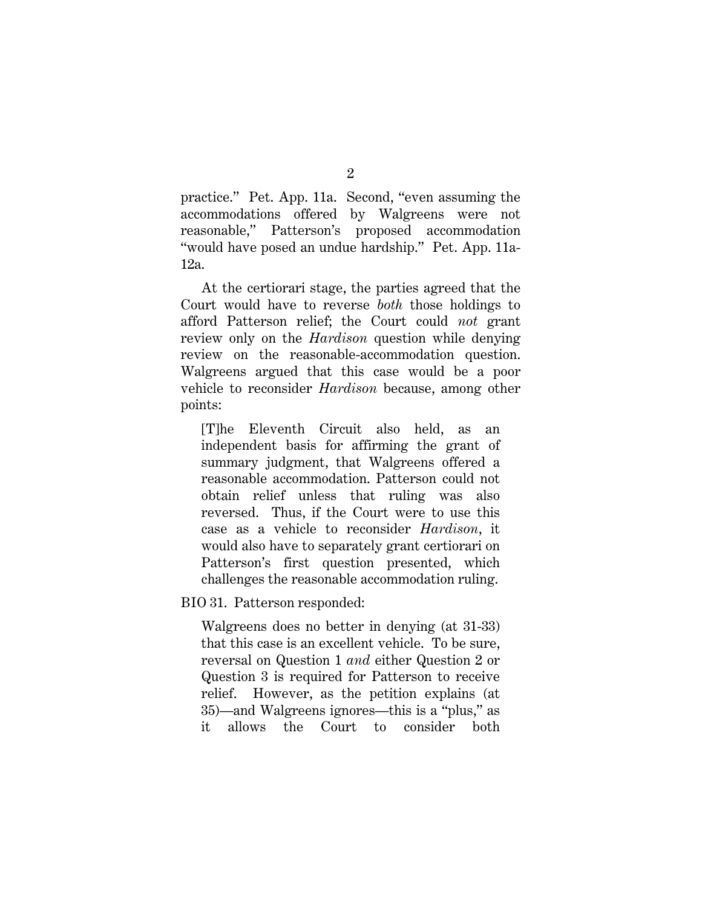practice." Pet. App. 11a. Second, "even assuming the accommodations offered by Walgreens were not reasonable," Patterson's proposed accommodation "would have posed an undue hardship." Pet. App. 11a-12a.

At the certiorari stage, the parties agreed that the Court would have to reverse *both* those holdings to afford Patterson relief; the Court could *not* grant review only on the *Hardison* question while denying review on the reasonable-accommodation question. Walgreens argued that this case would be a poor vehicle to reconsider *Hardison* because, among other points:

[T]he Eleventh Circuit also held, as an independent basis for affirming the grant of summary judgment, that Walgreens offered a reasonable accommodation. Patterson could not obtain relief unless that ruling was also reversed. Thus, if the Court were to use this case as a vehicle to reconsider *Hardison*, it would also have to separately grant certiorari on Patterson's first question presented, which challenges the reasonable accommodation ruling.

BIO 31. Patterson responded:

Walgreens does no better in denying (at 31-33) that this case is an excellent vehicle. To be sure, reversal on Question 1 *and* either Question 2 or Question 3 is required for Patterson to receive relief. However, as the petition explains (at 35)—and Walgreens ignores—this is a "plus," as it allows the Court to consider both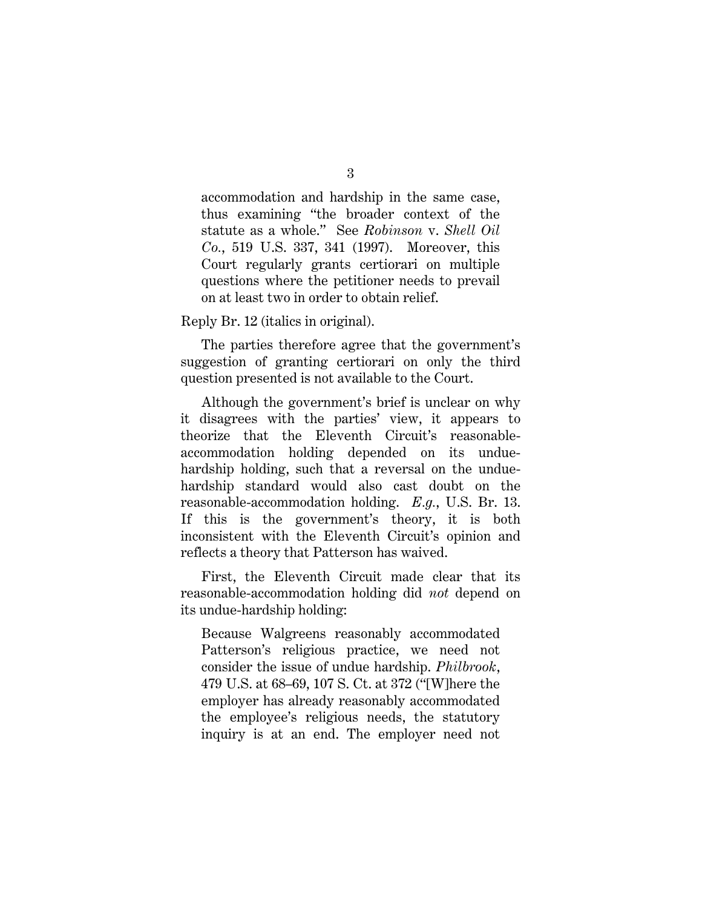accommodation and hardship in the same case, thus examining "the broader context of the statute as a whole." See *Robinson* v. *Shell Oil Co.*, 519 U.S. 337, 341 (1997). Moreover, this Court regularly grants certiorari on multiple questions where the petitioner needs to prevail on at least two in order to obtain relief.

Reply Br. 12 (italics in original).

The parties therefore agree that the government's suggestion of granting certiorari on only the third question presented is not available to the Court.

Although the government's brief is unclear on why it disagrees with the parties' view, it appears to theorize that the Eleventh Circuit's reasonableaccommodation holding depended on its unduehardship holding, such that a reversal on the unduehardship standard would also cast doubt on the reasonable-accommodation holding. *E.g.*, U.S. Br. 13. If this is the government's theory, it is both inconsistent with the Eleventh Circuit's opinion and reflects a theory that Patterson has waived.

First, the Eleventh Circuit made clear that its reasonable-accommodation holding did *not* depend on its undue-hardship holding:

Because Walgreens reasonably accommodated Patterson's religious practice, we need not consider the issue of undue hardship. *Philbrook*, 479 U.S. at 68–69, 107 S. Ct. at 372 ("[W]here the employer has already reasonably accommodated the employee's religious needs, the statutory inquiry is at an end. The employer need not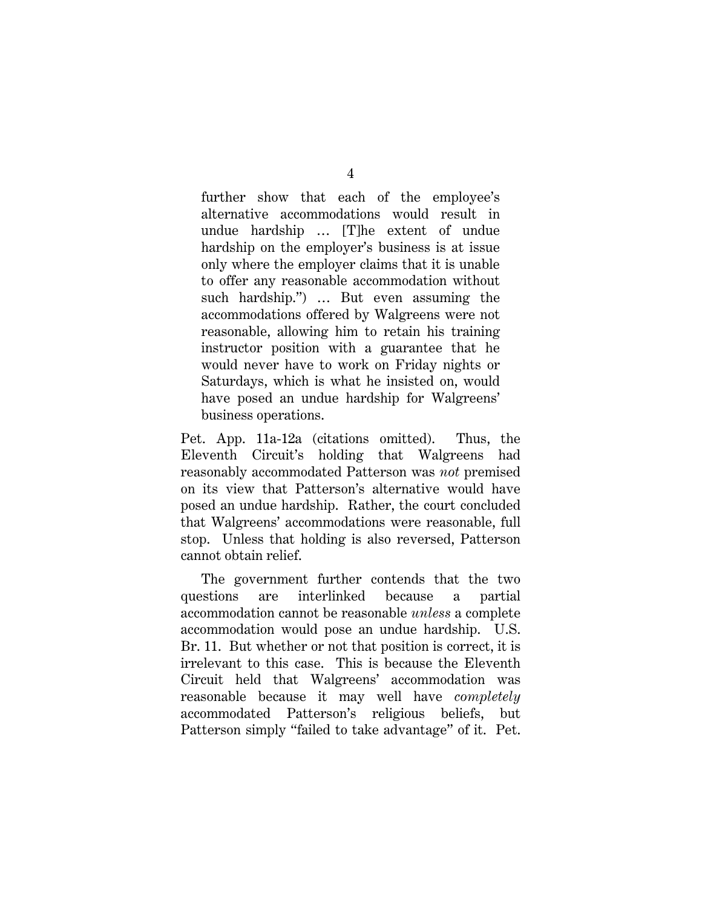further show that each of the employee's alternative accommodations would result in undue hardship … [T]he extent of undue hardship on the employer's business is at issue only where the employer claims that it is unable to offer any reasonable accommodation without such hardship.") … But even assuming the accommodations offered by Walgreens were not reasonable, allowing him to retain his training instructor position with a guarantee that he would never have to work on Friday nights or Saturdays, which is what he insisted on, would have posed an undue hardship for Walgreens' business operations.

Pet. App. 11a-12a (citations omitted). Thus, the Eleventh Circuit's holding that Walgreens had reasonably accommodated Patterson was *not* premised on its view that Patterson's alternative would have posed an undue hardship. Rather, the court concluded that Walgreens' accommodations were reasonable, full stop. Unless that holding is also reversed, Patterson cannot obtain relief.

The government further contends that the two questions are interlinked because a partial accommodation cannot be reasonable *unless* a complete accommodation would pose an undue hardship. U.S. Br. 11. But whether or not that position is correct, it is irrelevant to this case. This is because the Eleventh Circuit held that Walgreens' accommodation was reasonable because it may well have *completely* accommodated Patterson's religious beliefs, but Patterson simply "failed to take advantage" of it. Pet.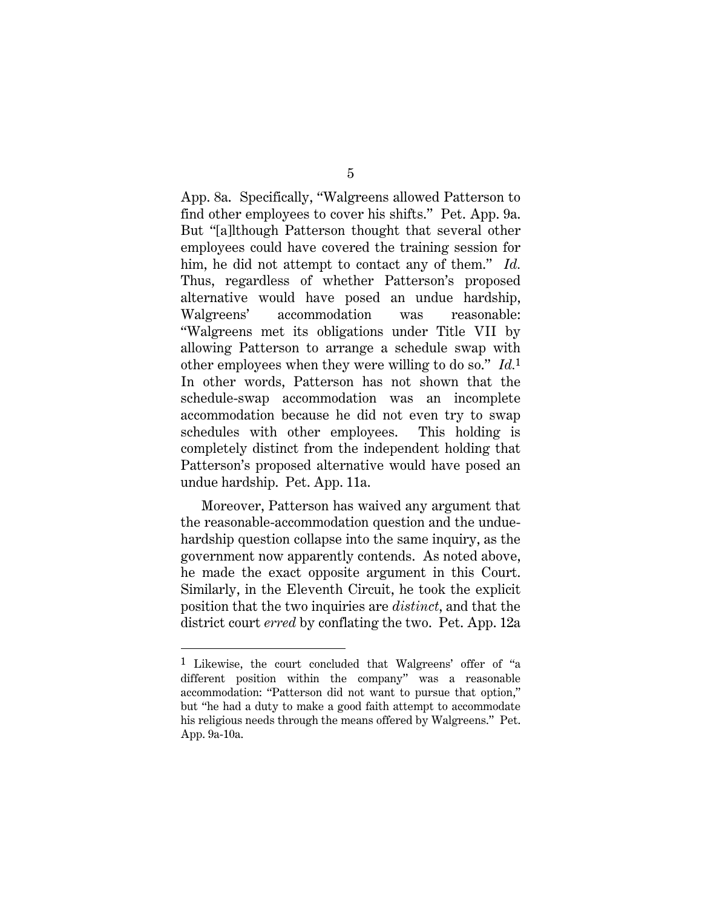App. 8a. Specifically, "Walgreens allowed Patterson to find other employees to cover his shifts." Pet. App. 9a. But "[a]lthough Patterson thought that several other employees could have covered the training session for him, he did not attempt to contact any of them." *Id.* Thus, regardless of whether Patterson's proposed alternative would have posed an undue hardship, Walgreens' accommodation was reasonable: "Walgreens met its obligations under Title VII by allowing Patterson to arrange a schedule swap with other employees when they were willing to do so." *Id.*1 In other words, Patterson has not shown that the schedule-swap accommodation was an incomplete accommodation because he did not even try to swap schedules with other employees. This holding is completely distinct from the independent holding that Patterson's proposed alternative would have posed an undue hardship. Pet. App. 11a.

Moreover, Patterson has waived any argument that the reasonable-accommodation question and the unduehardship question collapse into the same inquiry, as the government now apparently contends. As noted above, he made the exact opposite argument in this Court. Similarly, in the Eleventh Circuit, he took the explicit position that the two inquiries are *distinct*, and that the district court *erred* by conflating the two. Pet. App. 12a

 $\overline{a}$ 

<sup>1</sup> Likewise, the court concluded that Walgreens' offer of "a different position within the company" was a reasonable accommodation: "Patterson did not want to pursue that option," but "he had a duty to make a good faith attempt to accommodate his religious needs through the means offered by Walgreens." Pet. App. 9a-10a.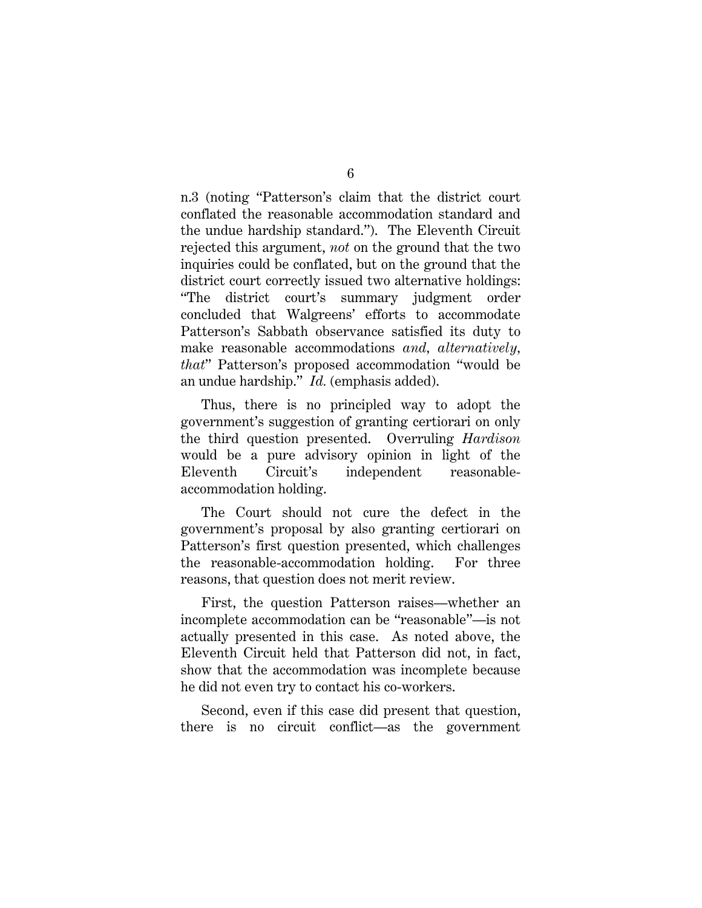n.3 (noting "Patterson's claim that the district court conflated the reasonable accommodation standard and the undue hardship standard."). The Eleventh Circuit rejected this argument, *not* on the ground that the two inquiries could be conflated, but on the ground that the district court correctly issued two alternative holdings: "The district court's summary judgment order concluded that Walgreens' efforts to accommodate Patterson's Sabbath observance satisfied its duty to make reasonable accommodations *and, alternatively, that*" Patterson's proposed accommodation "would be an undue hardship." *Id.* (emphasis added).

Thus, there is no principled way to adopt the government's suggestion of granting certiorari on only the third question presented. Overruling *Hardison* would be a pure advisory opinion in light of the Eleventh Circuit's independent reasonableaccommodation holding.

The Court should not cure the defect in the government's proposal by also granting certiorari on Patterson's first question presented, which challenges the reasonable-accommodation holding. For three reasons, that question does not merit review.

First, the question Patterson raises—whether an incomplete accommodation can be "reasonable"—is not actually presented in this case. As noted above, the Eleventh Circuit held that Patterson did not, in fact, show that the accommodation was incomplete because he did not even try to contact his co-workers.

Second, even if this case did present that question, there is no circuit conflict—as the government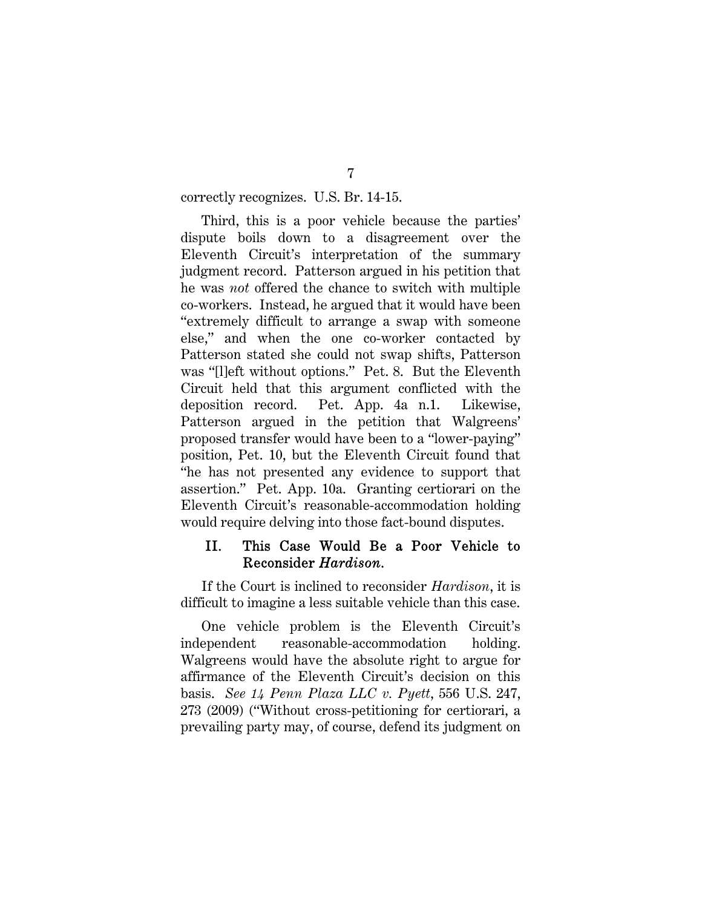correctly recognizes. U.S. Br. 14-15.

Third, this is a poor vehicle because the parties' dispute boils down to a disagreement over the Eleventh Circuit's interpretation of the summary judgment record. Patterson argued in his petition that he was *not* offered the chance to switch with multiple co-workers. Instead, he argued that it would have been "extremely difficult to arrange a swap with someone else," and when the one co-worker contacted by Patterson stated she could not swap shifts, Patterson was "[l]eft without options." Pet. 8. But the Eleventh Circuit held that this argument conflicted with the deposition record. Pet. App. 4a n.1. Likewise, Patterson argued in the petition that Walgreens' proposed transfer would have been to a "lower-paying" position, Pet. 10, but the Eleventh Circuit found that "he has not presented any evidence to support that assertion." Pet. App. 10a. Granting certiorari on the Eleventh Circuit's reasonable-accommodation holding would require delving into those fact-bound disputes.

#### II. This Case Would Be a Poor Vehicle to Reconsider *Hardison*.

If the Court is inclined to reconsider *Hardison*, it is difficult to imagine a less suitable vehicle than this case.

One vehicle problem is the Eleventh Circuit's independent reasonable-accommodation holding. Walgreens would have the absolute right to argue for affirmance of the Eleventh Circuit's decision on this basis. *See 14 Penn Plaza LLC v. Pyett*, 556 U.S. 247, 273 (2009) ("Without cross-petitioning for certiorari, a prevailing party may, of course, defend its judgment on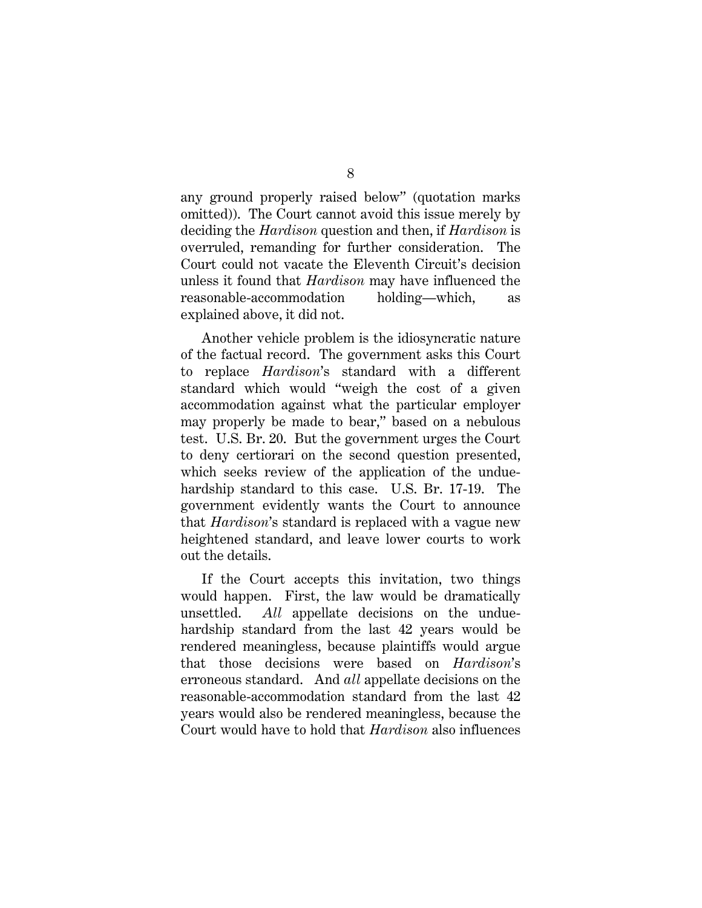any ground properly raised below" (quotation marks omitted)). The Court cannot avoid this issue merely by deciding the *Hardison* question and then, if *Hardison* is overruled, remanding for further consideration. The Court could not vacate the Eleventh Circuit's decision unless it found that *Hardison* may have influenced the reasonable-accommodation holding—which, as explained above, it did not.

Another vehicle problem is the idiosyncratic nature of the factual record. The government asks this Court to replace *Hardison*'s standard with a different standard which would "weigh the cost of a given accommodation against what the particular employer may properly be made to bear," based on a nebulous test. U.S. Br. 20. But the government urges the Court to deny certiorari on the second question presented, which seeks review of the application of the unduehardship standard to this case. U.S. Br. 17-19. The government evidently wants the Court to announce that *Hardison*'s standard is replaced with a vague new heightened standard, and leave lower courts to work out the details.

If the Court accepts this invitation, two things would happen. First, the law would be dramatically unsettled. *All* appellate decisions on the unduehardship standard from the last 42 years would be rendered meaningless, because plaintiffs would argue that those decisions were based on *Hardison*'s erroneous standard. And *all* appellate decisions on the reasonable-accommodation standard from the last 42 years would also be rendered meaningless, because the Court would have to hold that *Hardison* also influences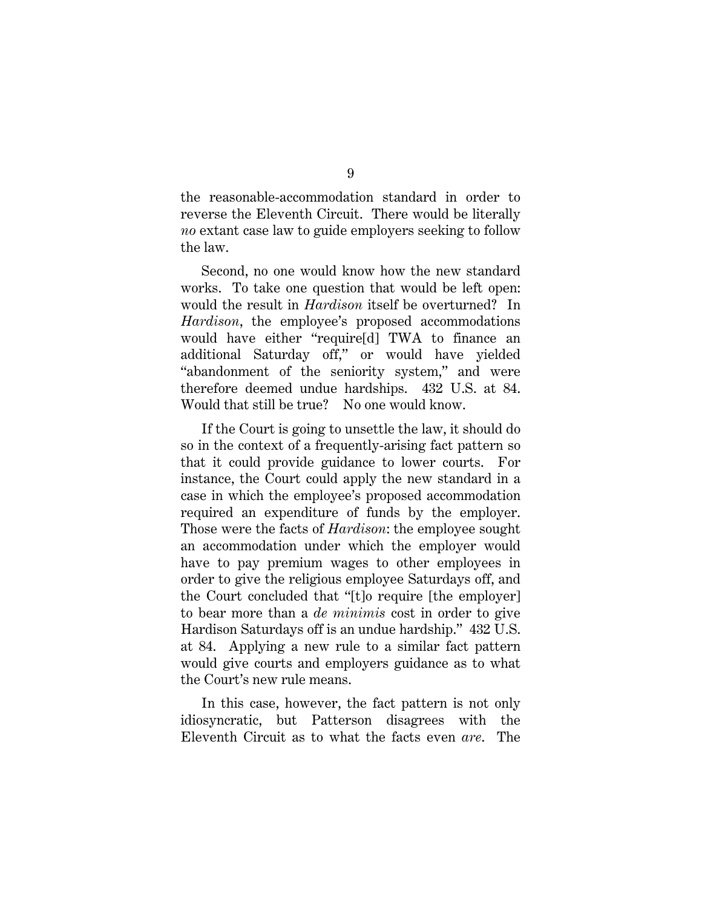the reasonable-accommodation standard in order to reverse the Eleventh Circuit. There would be literally *no* extant case law to guide employers seeking to follow the law.

Second, no one would know how the new standard works. To take one question that would be left open: would the result in *Hardison* itself be overturned? In *Hardison*, the employee's proposed accommodations would have either "require[d] TWA to finance an additional Saturday off," or would have yielded "abandonment of the seniority system," and were therefore deemed undue hardships. 432 U.S. at 84. Would that still be true? No one would know.

If the Court is going to unsettle the law, it should do so in the context of a frequently-arising fact pattern so that it could provide guidance to lower courts. For instance, the Court could apply the new standard in a case in which the employee's proposed accommodation required an expenditure of funds by the employer. Those were the facts of *Hardison*: the employee sought an accommodation under which the employer would have to pay premium wages to other employees in order to give the religious employee Saturdays off, and the Court concluded that "[t]o require [the employer] to bear more than a *de minimis* cost in order to give Hardison Saturdays off is an undue hardship." 432 U.S. at 84. Applying a new rule to a similar fact pattern would give courts and employers guidance as to what the Court's new rule means.

In this case, however, the fact pattern is not only idiosyncratic, but Patterson disagrees with the Eleventh Circuit as to what the facts even *are*. The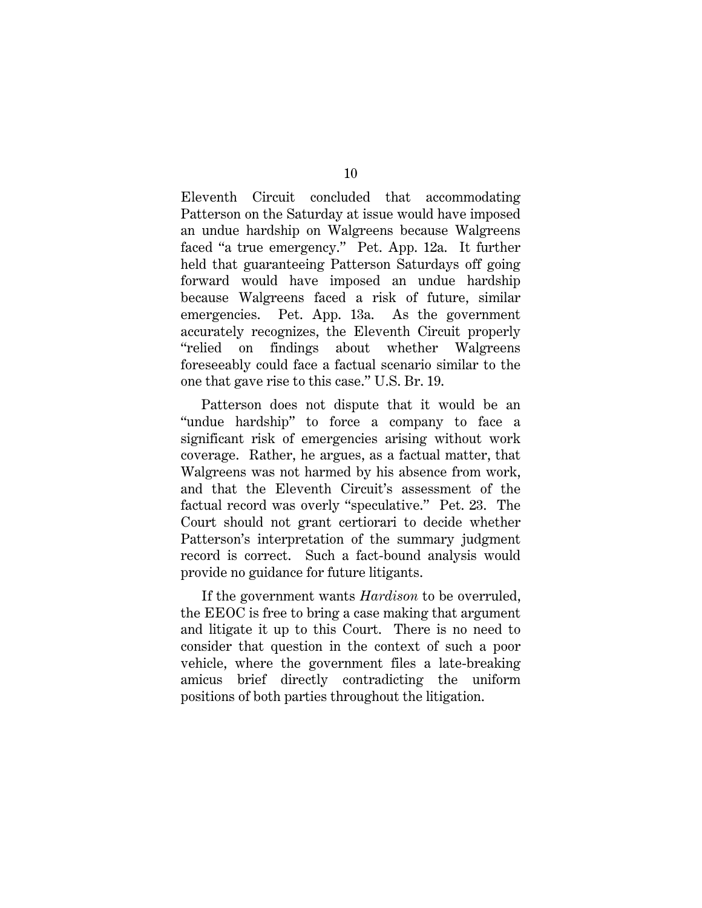Eleventh Circuit concluded that accommodating Patterson on the Saturday at issue would have imposed an undue hardship on Walgreens because Walgreens faced "a true emergency." Pet. App. 12a. It further held that guaranteeing Patterson Saturdays off going forward would have imposed an undue hardship because Walgreens faced a risk of future, similar emergencies. Pet. App. 13a. As the government accurately recognizes, the Eleventh Circuit properly "relied on findings about whether Walgreens foreseeably could face a factual scenario similar to the one that gave rise to this case." U.S. Br. 19.

Patterson does not dispute that it would be an "undue hardship" to force a company to face a significant risk of emergencies arising without work coverage. Rather, he argues, as a factual matter, that Walgreens was not harmed by his absence from work, and that the Eleventh Circuit's assessment of the factual record was overly "speculative." Pet. 23. The Court should not grant certiorari to decide whether Patterson's interpretation of the summary judgment record is correct. Such a fact-bound analysis would provide no guidance for future litigants.

If the government wants *Hardison* to be overruled, the EEOC is free to bring a case making that argument and litigate it up to this Court. There is no need to consider that question in the context of such a poor vehicle, where the government files a late-breaking amicus brief directly contradicting the uniform positions of both parties throughout the litigation.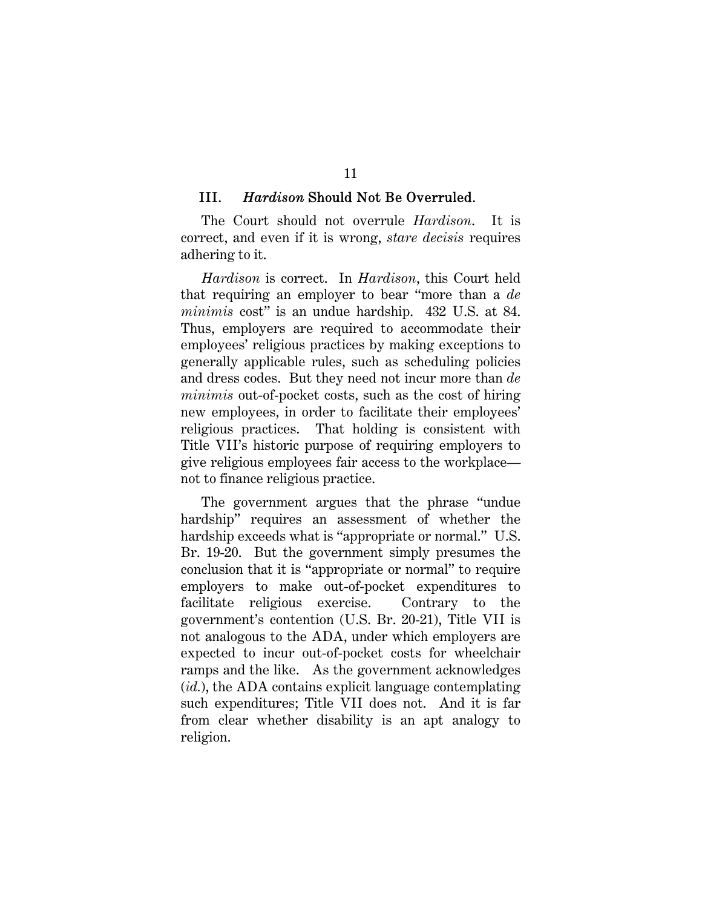#### III. *Hardison* Should Not Be Overruled.

The Court should not overrule *Hardison*. It is correct, and even if it is wrong, *stare decisis* requires adhering to it.

*Hardison* is correct. In *Hardison*, this Court held that requiring an employer to bear "more than a *de minimis* cost" is an undue hardship. 432 U.S. at 84. Thus, employers are required to accommodate their employees' religious practices by making exceptions to generally applicable rules, such as scheduling policies and dress codes. But they need not incur more than *de minimis* out-of-pocket costs, such as the cost of hiring new employees, in order to facilitate their employees' religious practices. That holding is consistent with Title VII's historic purpose of requiring employers to give religious employees fair access to the workplace not to finance religious practice.

The government argues that the phrase "undue hardship" requires an assessment of whether the hardship exceeds what is "appropriate or normal." U.S. Br. 19-20. But the government simply presumes the conclusion that it is "appropriate or normal" to require employers to make out-of-pocket expenditures to facilitate religious exercise. Contrary to the government's contention (U.S. Br. 20-21), Title VII is not analogous to the ADA, under which employers are expected to incur out-of-pocket costs for wheelchair ramps and the like. As the government acknowledges (*id.*), the ADA contains explicit language contemplating such expenditures; Title VII does not. And it is far from clear whether disability is an apt analogy to religion.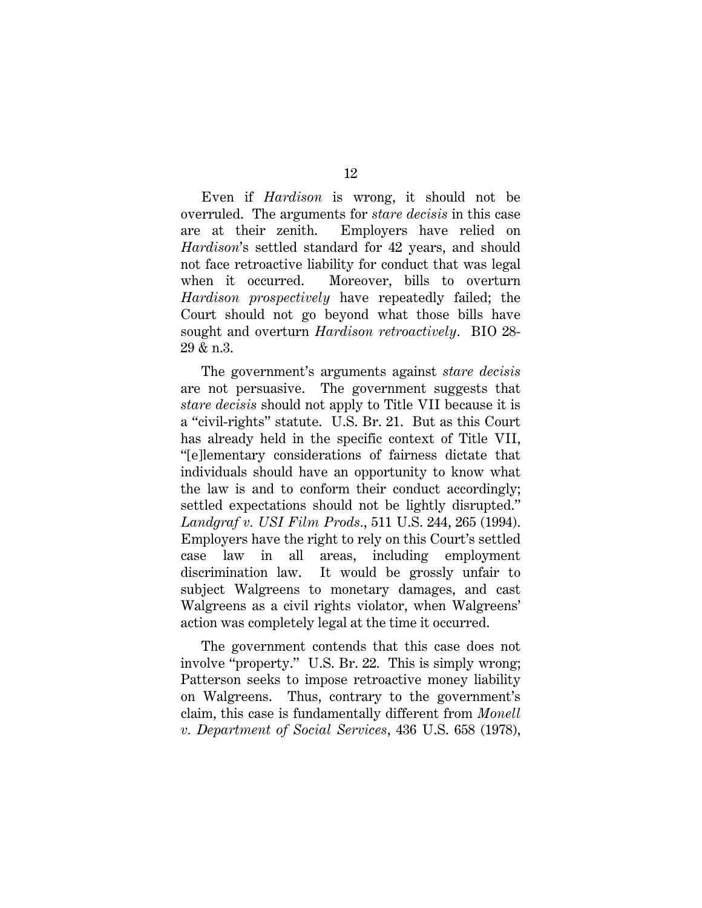Even if *Hardison* is wrong, it should not be overruled. The arguments for *stare decisis* in this case are at their zenith. Employers have relied on *Hardison*'s settled standard for 42 years, and should not face retroactive liability for conduct that was legal when it occurred. Moreover, bills to overturn *Hardison prospectively* have repeatedly failed; the Court should not go beyond what those bills have sought and overturn *Hardison retroactively*. BIO 28- 29 & n.3.

The government's arguments against *stare decisis* are not persuasive. The government suggests that *stare decisis* should not apply to Title VII because it is a "civil-rights" statute. U.S. Br. 21. But as this Court has already held in the specific context of Title VII, "[e]lementary considerations of fairness dictate that individuals should have an opportunity to know what the law is and to conform their conduct accordingly; settled expectations should not be lightly disrupted." *Landgraf v. USI Film Prods.*, 511 U.S. 244, 265 (1994). Employers have the right to rely on this Court's settled case law in all areas, including employment discrimination law. It would be grossly unfair to subject Walgreens to monetary damages, and cast Walgreens as a civil rights violator, when Walgreens' action was completely legal at the time it occurred.

The government contends that this case does not involve "property." U.S. Br. 22. This is simply wrong; Patterson seeks to impose retroactive money liability on Walgreens. Thus, contrary to the government's claim, this case is fundamentally different from *Monell v. Department of Social Services*, 436 U.S. 658 (1978),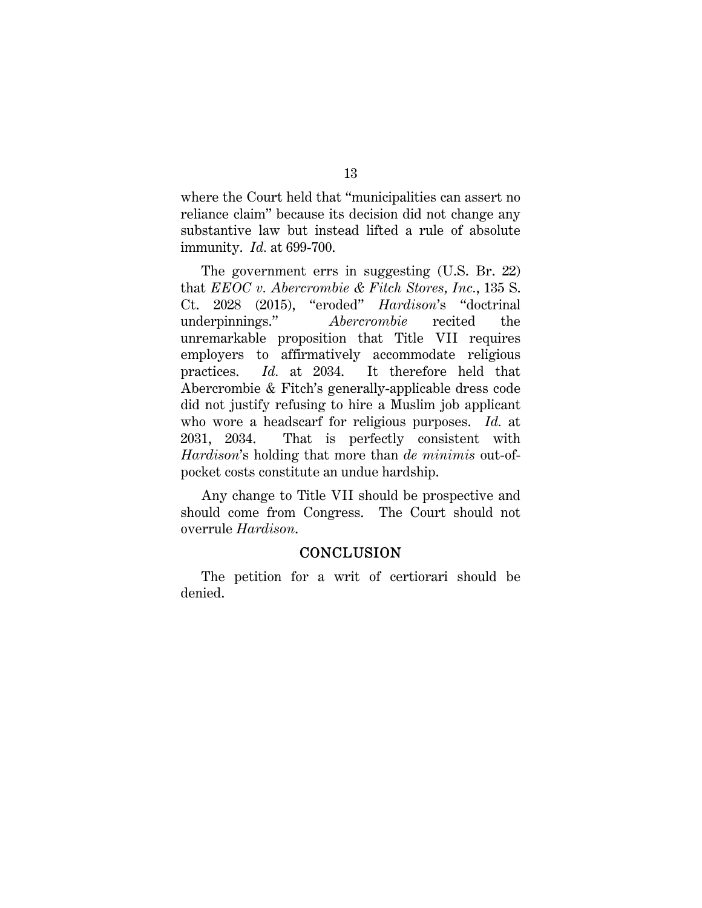where the Court held that "municipalities can assert no reliance claim" because its decision did not change any substantive law but instead lifted a rule of absolute immunity. *Id.* at 699-700.

The government errs in suggesting (U.S. Br. 22) that *EEOC v. Abercrombie & Fitch Stores, Inc.*, 135 S. Ct. 2028 (2015), "eroded" *Hardison*'s "doctrinal underpinnings." *Abercrombie* recited the unremarkable proposition that Title VII requires employers to affirmatively accommodate religious practices. *Id.* at 2034. It therefore held that Abercrombie & Fitch's generally-applicable dress code did not justify refusing to hire a Muslim job applicant who wore a headscarf for religious purposes. *Id.* at 2031, 2034. That is perfectly consistent with *Hardison*'s holding that more than *de minimis* out-ofpocket costs constitute an undue hardship.

Any change to Title VII should be prospective and should come from Congress. The Court should not overrule *Hardison*.

#### **CONCLUSION**

The petition for a writ of certiorari should be denied.